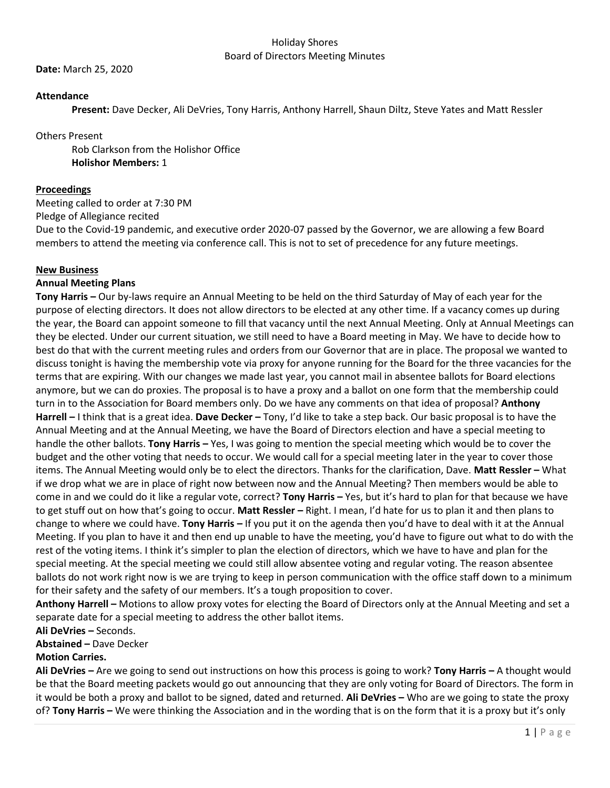#### Holiday Shores Board of Directors Meeting Minutes

**Date:** March 25, 2020

## **Attendance**

**Present:** Dave Decker, Ali DeVries, Tony Harris, Anthony Harrell, Shaun Diltz, Steve Yates and Matt Ressler

Others Present

Rob Clarkson from the Holishor Office **Holishor Members:** 1

## **Proceedings**

Meeting called to order at 7:30 PM

Pledge of Allegiance recited

Due to the Covid-19 pandemic, and executive order 2020-07 passed by the Governor, we are allowing a few Board members to attend the meeting via conference call. This is not to set of precedence for any future meetings.

## **New Business**

## **Annual Meeting Plans**

**Tony Harris –** Our by-laws require an Annual Meeting to be held on the third Saturday of May of each year for the purpose of electing directors. It does not allow directors to be elected at any other time. If a vacancy comes up during the year, the Board can appoint someone to fill that vacancy until the next Annual Meeting. Only at Annual Meetings can they be elected. Under our current situation, we still need to have a Board meeting in May. We have to decide how to best do that with the current meeting rules and orders from our Governor that are in place. The proposal we wanted to discuss tonight is having the membership vote via proxy for anyone running for the Board for the three vacancies for the terms that are expiring. With our changes we made last year, you cannot mail in absentee ballots for Board elections anymore, but we can do proxies. The proposal is to have a proxy and a ballot on one form that the membership could turn in to the Association for Board members only. Do we have any comments on that idea of proposal? **Anthony Harrell –** I think that is a great idea. **Dave Decker –** Tony, I'd like to take a step back. Our basic proposal is to have the Annual Meeting and at the Annual Meeting, we have the Board of Directors election and have a special meeting to handle the other ballots. **Tony Harris –** Yes, I was going to mention the special meeting which would be to cover the budget and the other voting that needs to occur. We would call for a special meeting later in the year to cover those items. The Annual Meeting would only be to elect the directors. Thanks for the clarification, Dave. **Matt Ressler –** What if we drop what we are in place of right now between now and the Annual Meeting? Then members would be able to come in and we could do it like a regular vote, correct? **Tony Harris –** Yes, but it's hard to plan for that because we have to get stuff out on how that's going to occur. **Matt Ressler –** Right. I mean, I'd hate for us to plan it and then plans to change to where we could have. **Tony Harris –** If you put it on the agenda then you'd have to deal with it at the Annual Meeting. If you plan to have it and then end up unable to have the meeting, you'd have to figure out what to do with the rest of the voting items. I think it's simpler to plan the election of directors, which we have to have and plan for the special meeting. At the special meeting we could still allow absentee voting and regular voting. The reason absentee ballots do not work right now is we are trying to keep in person communication with the office staff down to a minimum for their safety and the safety of our members. It's a tough proposition to cover.

**Anthony Harrell –** Motions to allow proxy votes for electing the Board of Directors only at the Annual Meeting and set a separate date for a special meeting to address the other ballot items.

**Ali DeVries –** Seconds.

**Abstained –** Dave Decker

# **Motion Carries.**

**Ali DeVries –** Are we going to send out instructions on how this process is going to work? **Tony Harris –** A thought would be that the Board meeting packets would go out announcing that they are only voting for Board of Directors. The form in it would be both a proxy and ballot to be signed, dated and returned. **Ali DeVries –** Who are we going to state the proxy of? **Tony Harris –** We were thinking the Association and in the wording that is on the form that it is a proxy but it's only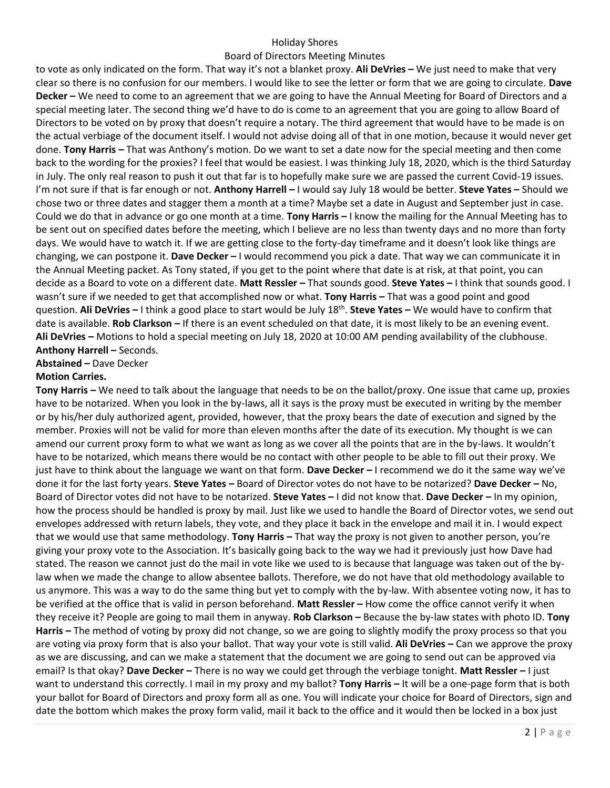### Holiday Shores

### Board of Directors Meeting Minutes

to vote as only indicated on the form. That way it's not a blanket proxy. **Ali DeVries –** We just need to make that very clear so there is no confusion for our members. I would like to see the letter or form that we are going to circulate. **Dave Decker –** We need to come to an agreement that we are going to have the Annual Meeting for Board of Directors and a special meeting later. The second thing we'd have to do is come to an agreement that you are going to allow Board of Directors to be voted on by proxy that doesn't require a notary. The third agreement that would have to be made is on the actual verbiage of the document itself. I would not advise doing all of that in one motion, because it would never get done. **Tony Harris –** That was Anthony's motion. Do we want to set a date now for the special meeting and then come back to the wording for the proxies? I feel that would be easiest. I was thinking July 18, 2020, which is the third Saturday in July. The only real reason to push it out that far is to hopefully make sure we are passed the current Covid-19 issues. I'm not sure if that is far enough or not. **Anthony Harrell –** I would say July 18 would be better. **Steve Yates –** Should we chose two or three dates and stagger them a month at a time? Maybe set a date in August and September just in case. Could we do that in advance or go one month at a time. **Tony Harris –** I know the mailing for the Annual Meeting has to be sent out on specified dates before the meeting, which I believe are no less than twenty days and no more than forty days. We would have to watch it. If we are getting close to the forty-day timeframe and it doesn't look like things are changing, we can postpone it. **Dave Decker –** I would recommend you pick a date. That way we can communicate it in the Annual Meeting packet. As Tony stated, if you get to the point where that date is at risk, at that point, you can decide as a Board to vote on a different date. **Matt Ressler –** That sounds good. **Steve Yates –** I think that sounds good. I wasn't sure if we needed to get that accomplished now or what. **Tony Harris –** That was a good point and good question. **Ali DeVries –** I think a good place to start would be July 18th . **Steve Yates –** We would have to confirm that date is available. **Rob Clarkson –** If there is an event scheduled on that date, it is most likely to be an evening event. **Ali DeVries –** Motions to hold a special meeting on July 18, 2020 at 10:00 AM pending availability of the clubhouse. **Anthony Harrell –** Seconds.

**Abstained –** Dave Decker

## **Motion Carries.**

**Tony Harris –** We need to talk about the language that needs to be on the ballot/proxy. One issue that came up, proxies have to be notarized. When you look in the by-laws, all it says is the proxy must be executed in writing by the member or by his/her duly authorized agent, provided, however, that the proxy bears the date of execution and signed by the member. Proxies will not be valid for more than eleven months after the date of its execution. My thought is we can amend our current proxy form to what we want as long as we cover all the points that are in the by-laws. It wouldn't have to be notarized, which means there would be no contact with other people to be able to fill out their proxy. We just have to think about the language we want on that form. **Dave Decker –** I recommend we do it the same way we've done it for the last forty years. **Steve Yates –** Board of Director votes do not have to be notarized? **Dave Decker –** No, Board of Director votes did not have to be notarized. **Steve Yates –** I did not know that. **Dave Decker –** In my opinion, how the process should be handled is proxy by mail. Just like we used to handle the Board of Director votes, we send out envelopes addressed with return labels, they vote, and they place it back in the envelope and mail it in. I would expect that we would use that same methodology. **Tony Harris –** That way the proxy is not given to another person, you're giving your proxy vote to the Association. It's basically going back to the way we had it previously just how Dave had stated. The reason we cannot just do the mail in vote like we used to is because that language was taken out of the bylaw when we made the change to allow absentee ballots. Therefore, we do not have that old methodology available to us anymore. This was a way to do the same thing but yet to comply with the by-law. With absentee voting now, it has to be verified at the office that is valid in person beforehand. **Matt Ressler –** How come the office cannot verify it when they receive it? People are going to mail them in anyway. **Rob Clarkson –** Because the by-law states with photo ID. **Tony Harris –** The method of voting by proxy did not change, so we are going to slightly modify the proxy process so that you are voting via proxy form that is also your ballot. That way your vote is still valid. **Ali DeVries –** Can we approve the proxy as we are discussing, and can we make a statement that the document we are going to send out can be approved via email? Is that okay? **Dave Decker –** There is no way we could get through the verbiage tonight. **Matt Ressler –** I just want to understand this correctly. I mail in my proxy and my ballot? **Tony Harris –** It will be a one-page form that is both your ballot for Board of Directors and proxy form all as one. You will indicate your choice for Board of Directors, sign and date the bottom which makes the proxy form valid, mail it back to the office and it would then be locked in a box just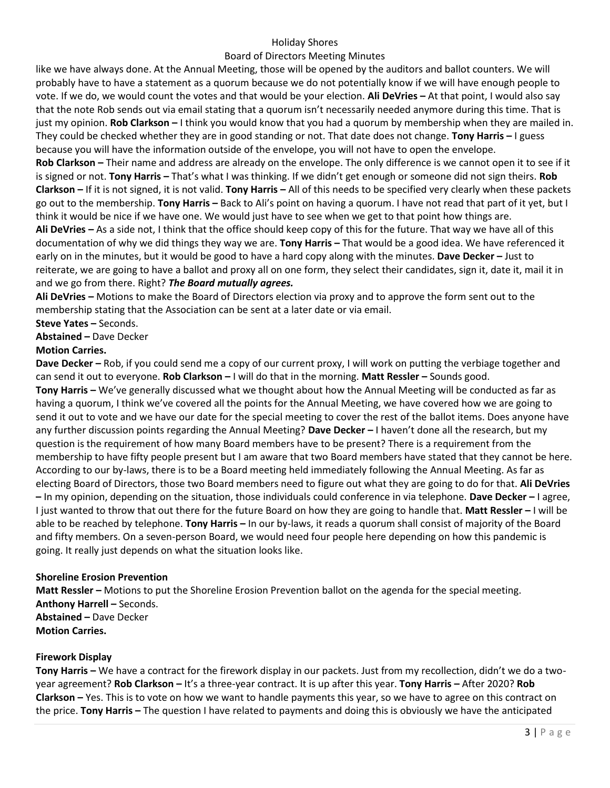## Holiday Shores

## Board of Directors Meeting Minutes

like we have always done. At the Annual Meeting, those will be opened by the auditors and ballot counters. We will probably have to have a statement as a quorum because we do not potentially know if we will have enough people to vote. If we do, we would count the votes and that would be your election. **Ali DeVries –** At that point, I would also say that the note Rob sends out via email stating that a quorum isn't necessarily needed anymore during this time. That is just my opinion. **Rob Clarkson –** I think you would know that you had a quorum by membership when they are mailed in. They could be checked whether they are in good standing or not. That date does not change. **Tony Harris –** I guess because you will have the information outside of the envelope, you will not have to open the envelope.

**Rob Clarkson –** Their name and address are already on the envelope. The only difference is we cannot open it to see if it is signed or not. **Tony Harris –** That's what I was thinking. If we didn't get enough or someone did not sign theirs. **Rob Clarkson –** If it is not signed, it is not valid. **Tony Harris –** All of this needs to be specified very clearly when these packets go out to the membership. **Tony Harris –** Back to Ali's point on having a quorum. I have not read that part of it yet, but I think it would be nice if we have one. We would just have to see when we get to that point how things are.

**Ali DeVries –** As a side not, I think that the office should keep copy of this for the future. That way we have all of this documentation of why we did things they way we are. **Tony Harris –** That would be a good idea. We have referenced it early on in the minutes, but it would be good to have a hard copy along with the minutes. **Dave Decker –** Just to reiterate, we are going to have a ballot and proxy all on one form, they select their candidates, sign it, date it, mail it in and we go from there. Right? *The Board mutually agrees.* 

**Ali DeVries –** Motions to make the Board of Directors election via proxy and to approve the form sent out to the membership stating that the Association can be sent at a later date or via email.

**Steve Yates –** Seconds.

#### **Abstained –** Dave Decker

#### **Motion Carries.**

**Dave Decker –** Rob, if you could send me a copy of our current proxy, I will work on putting the verbiage together and can send it out to everyone. **Rob Clarkson –** I will do that in the morning. **Matt Ressler –** Sounds good. **Tony Harris –** We've generally discussed what we thought about how the Annual Meeting will be conducted as far as having a quorum, I think we've covered all the points for the Annual Meeting, we have covered how we are going to send it out to vote and we have our date for the special meeting to cover the rest of the ballot items. Does anyone have any further discussion points regarding the Annual Meeting? **Dave Decker –** I haven't done all the research, but my question is the requirement of how many Board members have to be present? There is a requirement from the membership to have fifty people present but I am aware that two Board members have stated that they cannot be here. According to our by-laws, there is to be a Board meeting held immediately following the Annual Meeting. As far as electing Board of Directors, those two Board members need to figure out what they are going to do for that. **Ali DeVries –** In my opinion, depending on the situation, those individuals could conference in via telephone. **Dave Decker –** I agree, I just wanted to throw that out there for the future Board on how they are going to handle that. **Matt Ressler –** I will be able to be reached by telephone. **Tony Harris –** In our by-laws, it reads a quorum shall consist of majority of the Board and fifty members. On a seven-person Board, we would need four people here depending on how this pandemic is going. It really just depends on what the situation looks like.

## **Shoreline Erosion Prevention**

**Matt Ressler –** Motions to put the Shoreline Erosion Prevention ballot on the agenda for the special meeting. **Anthony Harrell –** Seconds. **Abstained –** Dave Decker **Motion Carries.**

#### **Firework Display**

**Tony Harris –** We have a contract for the firework display in our packets. Just from my recollection, didn't we do a twoyear agreement? **Rob Clarkson –** It's a three-year contract. It is up after this year. **Tony Harris –** After 2020? **Rob Clarkson –** Yes. This is to vote on how we want to handle payments this year, so we have to agree on this contract on the price. **Tony Harris –** The question I have related to payments and doing this is obviously we have the anticipated